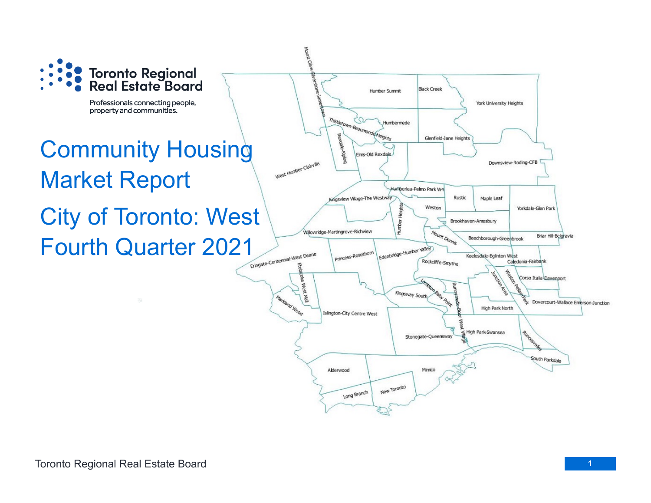

Professionals connecting people, property and communities.

# Community Housing Market Report City of Toronto: West Fourth Quarter 2021

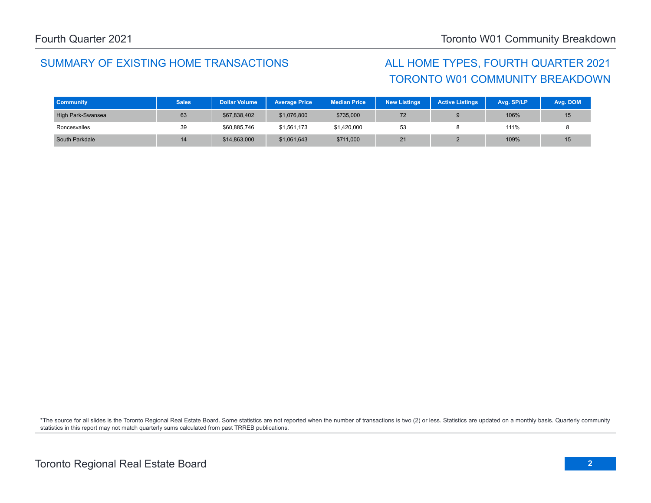### SUMMARY OF EXISTING HOME TRANSACTIONS ALL HOME TYPES, FOURTH QUARTER 2021

# TORONTO W01 COMMUNITY BREAKDOWN

| <b>Community</b>  | <b>Sales</b> | <b>Dollar Volume</b> | <b>Average Price</b> | <b>Median Price</b> | <b>New Listings</b> | <b>Active Listings</b> | Avg. SP/LP | Avg. DOM        |
|-------------------|--------------|----------------------|----------------------|---------------------|---------------------|------------------------|------------|-----------------|
| High Park-Swansea | 63           | \$67,838,402         | \$1,076,800          | \$735,000           | 72                  |                        | 106%       | 15              |
| Roncesvalles      | 39           | \$60,885,746         | \$1.561.173          | \$1,420,000         | 53                  |                        | 111%       |                 |
| South Parkdale    | 14           | \$14,863,000         | \$1,061,643          | \$711,000           | 21                  |                        | 109%       | 15 <sup>1</sup> |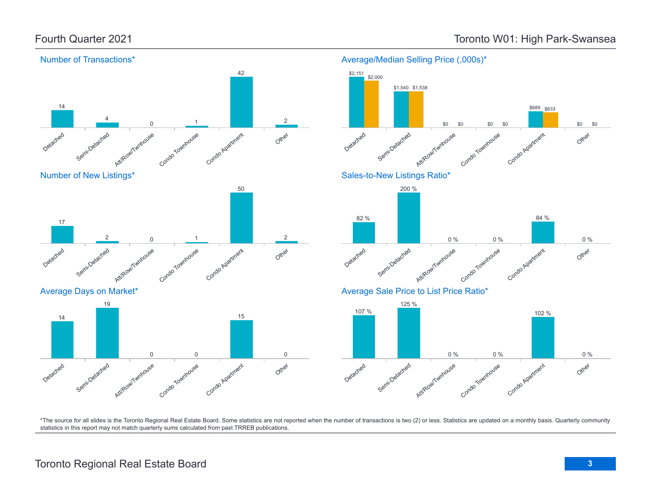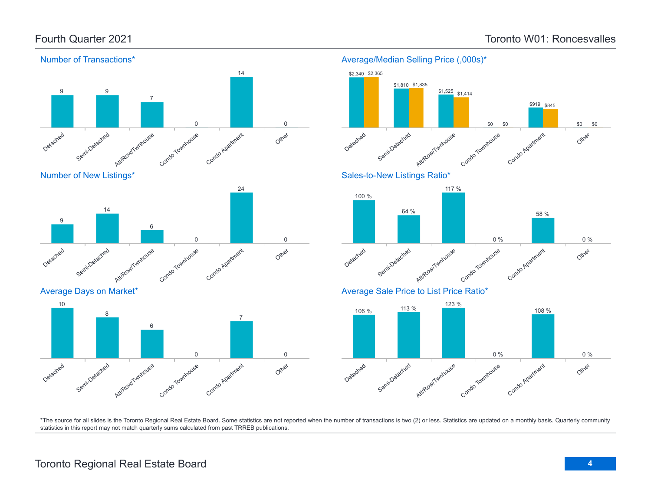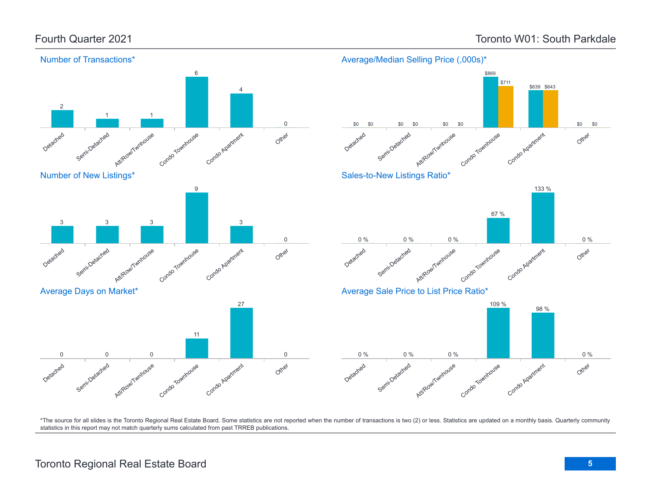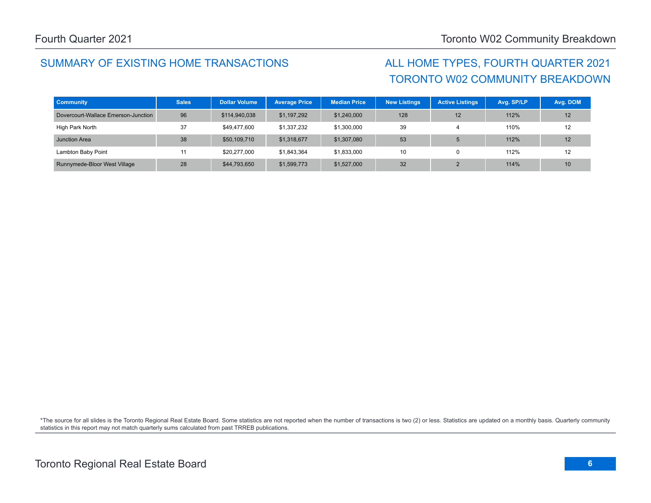## SUMMARY OF EXISTING HOME TRANSACTIONS ALL HOME TYPES, FOURTH QUARTER 2021

# TORONTO W02 COMMUNITY BREAKDOWN

| <b>Community</b>                    | <b>Sales</b> | <b>Dollar Volume</b> | <b>Average Price</b> | <b>Median Price</b> | <b>New Listings</b> | <b>Active Listings</b> | Avg. SP/LP | Avg. DOM |
|-------------------------------------|--------------|----------------------|----------------------|---------------------|---------------------|------------------------|------------|----------|
| Dovercourt-Wallace Emerson-Junction | 96           | \$114,940,038        | \$1,197,292          | \$1,240,000         | 128                 | 12                     | 112%       | 12       |
| High Park North                     | 37           | \$49,477,600         | \$1,337,232          | \$1,300,000         | 39                  |                        | 110%       | 12       |
| Junction Area                       | 38           | \$50,109,710         | \$1,318,677          | \$1,307,080         | 53                  |                        | 112%       | 12       |
| Lambton Baby Point                  |              | \$20,277,000         | \$1,843,364          | \$1,833,000         | 10                  | $\Omega$               | 112%       | 12       |
| Runnymede-Bloor West Village        | 28           | \$44,793,650         | \$1,599,773          | \$1,527,000         | 32                  |                        | 114%       | 10       |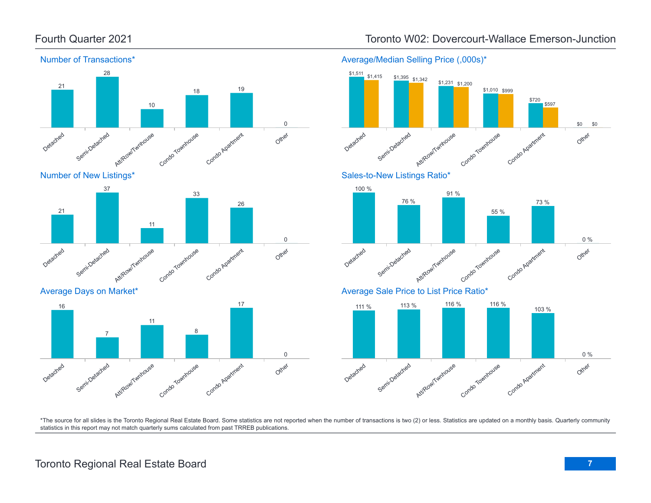

### Fourth Quarter 2021 Toronto W02: Dovercourt-Wallace Emerson-Junction

Average/Median Selling Price (,000s)\*

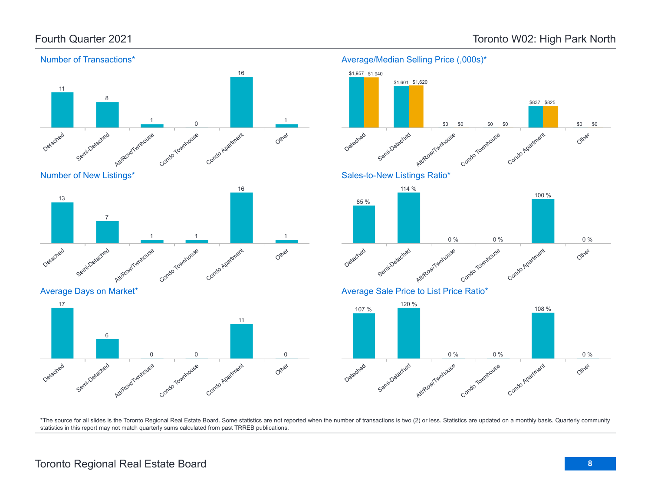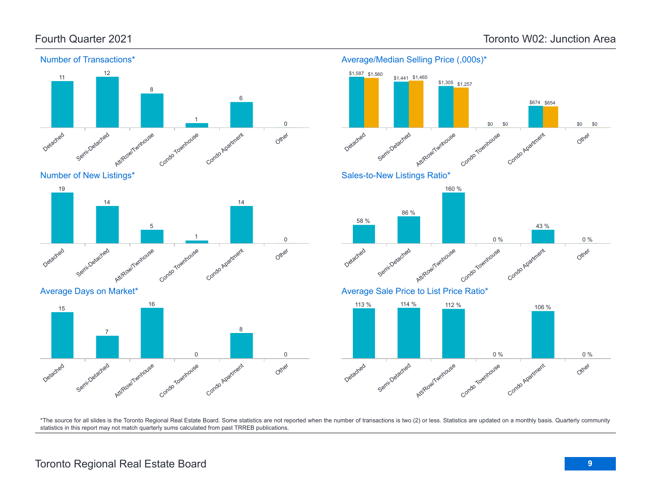



Average Days on Market\*





Average/Median Selling Price (,000s)\*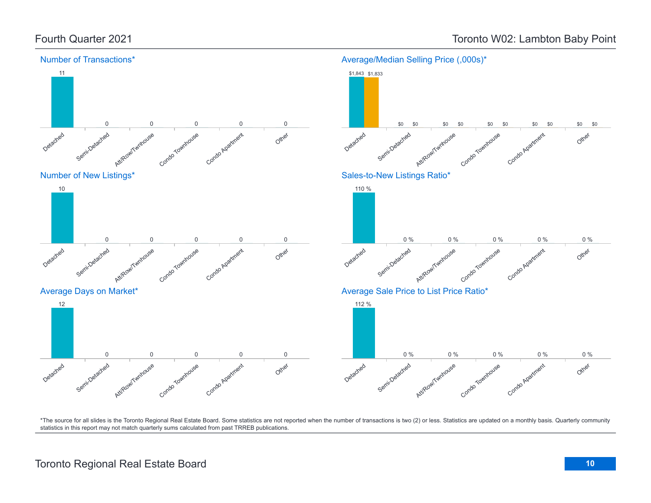

## Fourth Quarter 2021 **Toronto W02: Lambton Baby Point**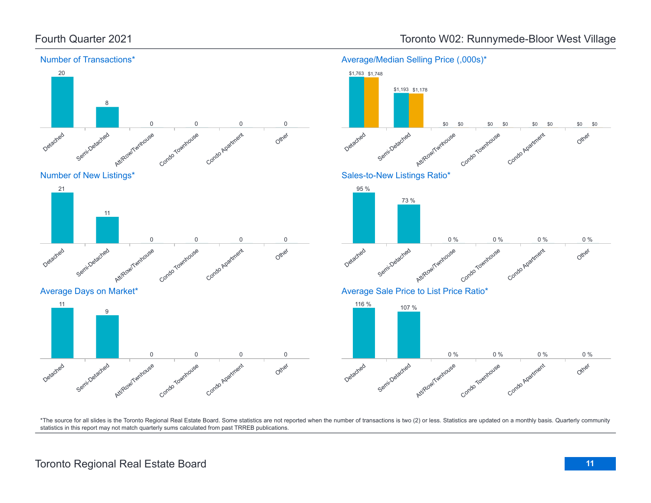

# Fourth Quarter 2021 **Toronto W02: Runnymede-Bloor West Village**

\*The source for all slides is the Toronto Regional Real Estate Board. Some statistics are not reported when the number of transactions is two (2) or less. Statistics are updated on a monthly basis. Quarterly community statistics in this report may not match quarterly sums calculated from past TRREB publications.

Other

Other

Other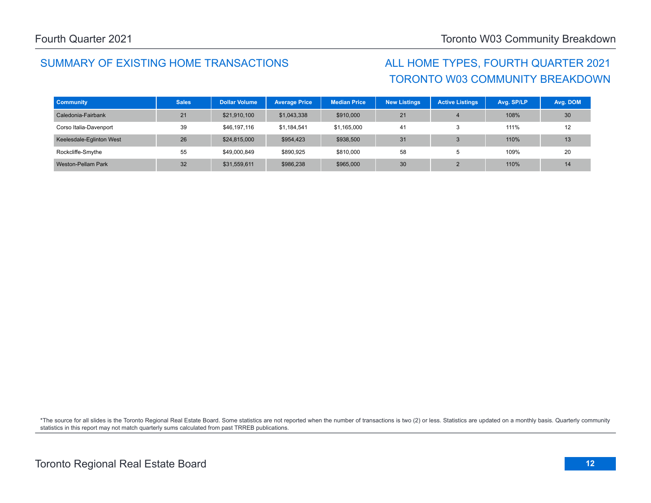## SUMMARY OF EXISTING HOME TRANSACTIONS ALL HOME TYPES, FOURTH QUARTER 2021

# TORONTO W03 COMMUNITY BREAKDOWN

| <b>Community</b>         | <b>Sales</b> | <b>Dollar Volume</b> | <b>Average Price</b> | <b>Median Price</b> | <b>New Listings</b> | <b>Active Listings</b> | Avg. SP/LP | Avg. DOM |
|--------------------------|--------------|----------------------|----------------------|---------------------|---------------------|------------------------|------------|----------|
| Caledonia-Fairbank       | 21           | \$21,910,100         | \$1,043,338          | \$910,000           | 21                  |                        | 108%       | 30       |
| Corso Italia-Davenport   | 39           | \$46,197,116         | \$1,184,541          | \$1,165,000         | 41                  | Æ                      | 111%       | 12       |
| Keelesdale-Eglinton West | 26           | \$24,815,000         | \$954,423            | \$938,500           | 31                  |                        | 110%       | 13       |
| Rockcliffe-Smythe        | 55           | \$49,000,849         | \$890,925            | \$810,000           | 58                  |                        | 109%       | 20       |
| Weston-Pellam Park       | 32           | \$31,559,611         | \$986,238            | \$965,000           | 30                  |                        | 110%       | 14       |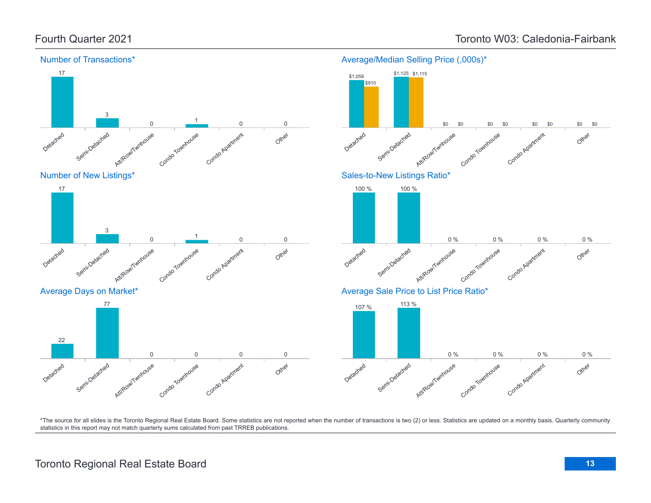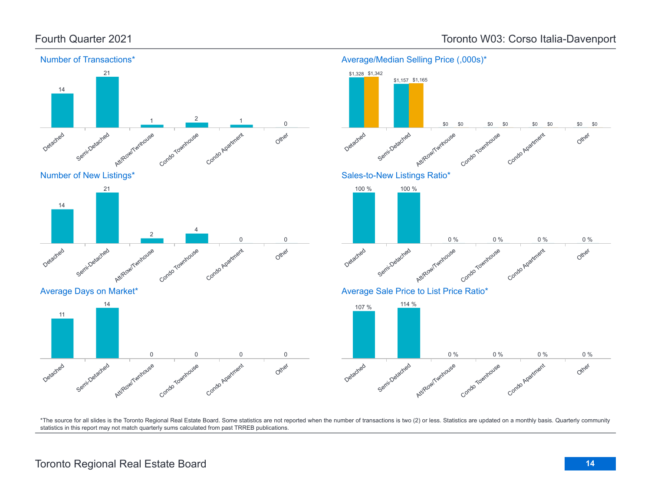

Other

Other

Other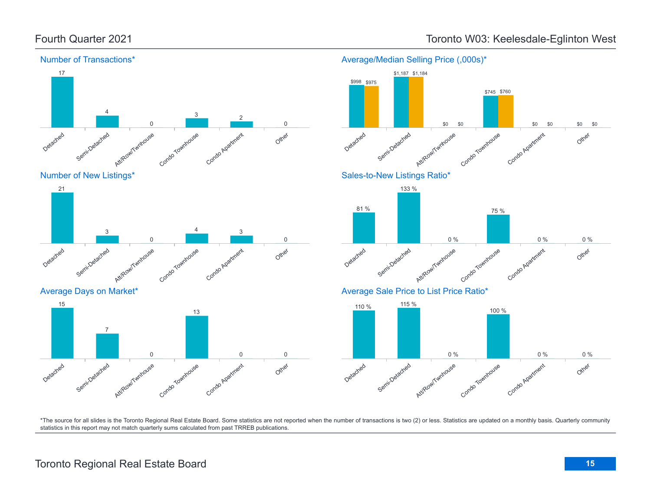

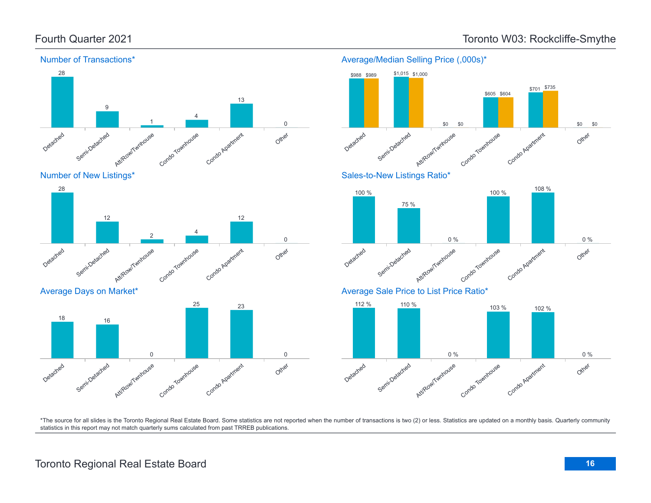

### Number of Transactions\*





Average Days on Market\*





Average/Median Selling Price (,000s)\*

\$989 \$1,015 \$1,000

\$988 \$989

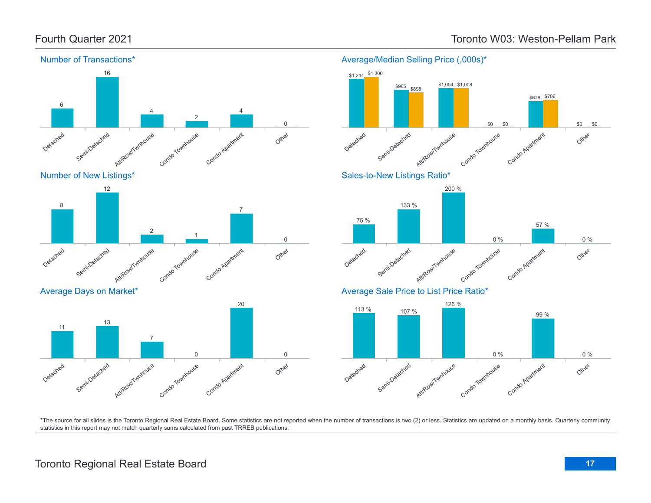Average Days on Market\*

13

Semi-Detached

Detached

11



### Average/Median Selling Price (,000s)\*



\*The source for all slides is the Toronto Regional Real Estate Board. Some statistics are not reported when the number of transactions is two (2) or less. Statistics are updated on a monthly basis. Quarterly community statistics in this report may not match quarterly sums calculated from past TRREB publications.

Other

0

Att/Row/Twnhouse

7

Condo Townhouse

0

Condo Apartment

20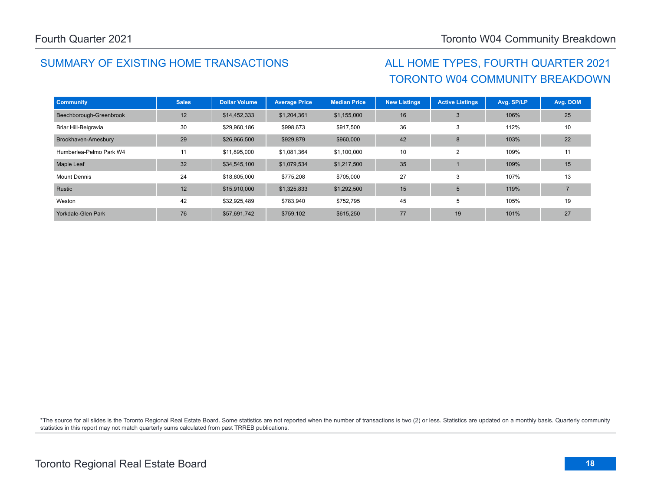## SUMMARY OF EXISTING HOME TRANSACTIONS ALL HOME TYPES, FOURTH QUARTER 2021

# TORONTO W04 COMMUNITY BREAKDOWN

| <b>Community</b>        | <b>Sales</b> | <b>Dollar Volume</b> | <b>Average Price</b> | <b>Median Price</b> | <b>New Listings</b> | <b>Active Listings</b> | Avg. SP/LP | Avg. DOM |
|-------------------------|--------------|----------------------|----------------------|---------------------|---------------------|------------------------|------------|----------|
| Beechborough-Greenbrook | 12           | \$14,452,333         | \$1,204,361          | \$1,155,000         | 16                  | 3                      | 106%       | 25       |
| Briar Hill-Belgravia    | 30           | \$29,960,186         | \$998,673            | \$917,500           | 36                  | 3                      | 112%       | 10       |
| Brookhaven-Amesbury     | 29           | \$26,966,500         | \$929,879            | \$960,000           | 42                  | 8                      | 103%       | 22       |
| Humberlea-Pelmo Park W4 | 11           | \$11,895,000         | \$1,081,364          | \$1,100,000         | 10                  | $\overline{2}$         | 109%       | 11       |
| Maple Leaf              | 32           | \$34,545,100         | \$1,079,534          | \$1,217,500         | 35                  |                        | 109%       | 15       |
| <b>Mount Dennis</b>     | 24           | \$18,605,000         | \$775,208            | \$705,000           | 27                  | 3                      | 107%       | 13       |
| Rustic                  | 12           | \$15,910,000         | \$1,325,833          | \$1,292,500         | 15                  | 5                      | 119%       |          |
| Weston                  | 42           | \$32,925,489         | \$783,940            | \$752,795           | 45                  | 5                      | 105%       | 19       |
| Yorkdale-Glen Park      | 76           | \$57,691,742         | \$759,102            | \$615,250           | 77                  | 19                     | 101%       | 27       |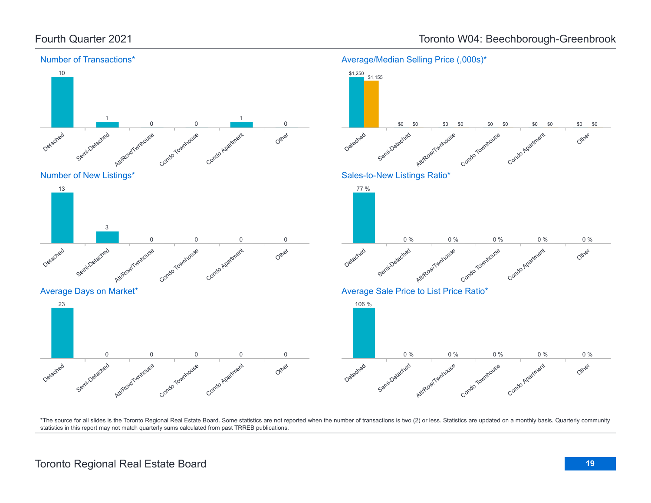

Other

Other

Other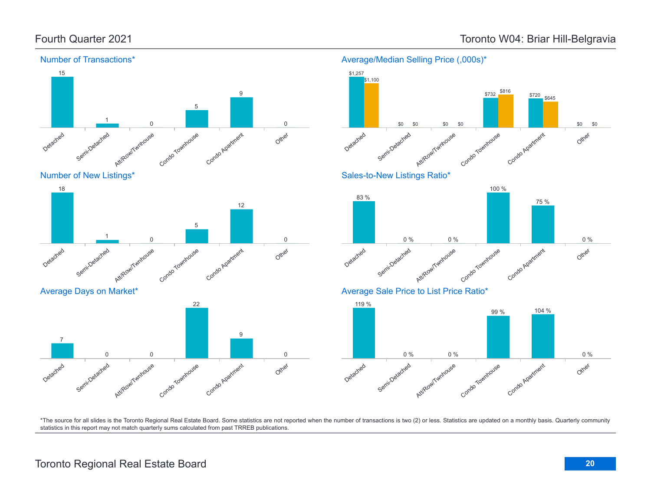\$645

Condo Apartment

75 %

Condo Apatricent

99 % 104 %

Condo Apartment

 $$732 \frac{$870}{$720}$  \$720

\$816

100 %

Other

Other

Other

0 %

0 %

\$0

\$0



### Number of Transactions\*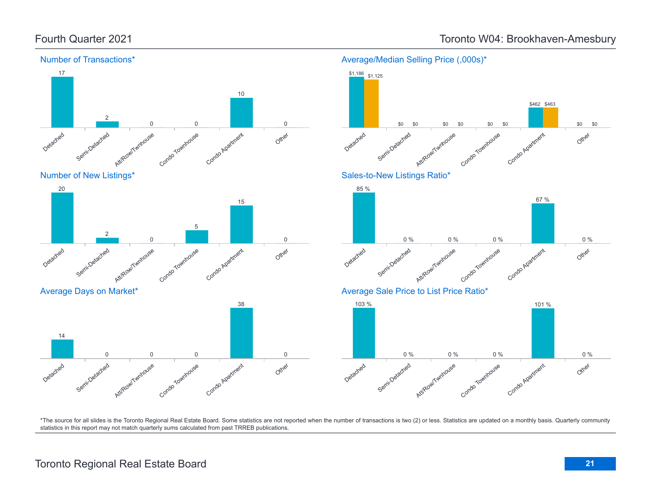

\$0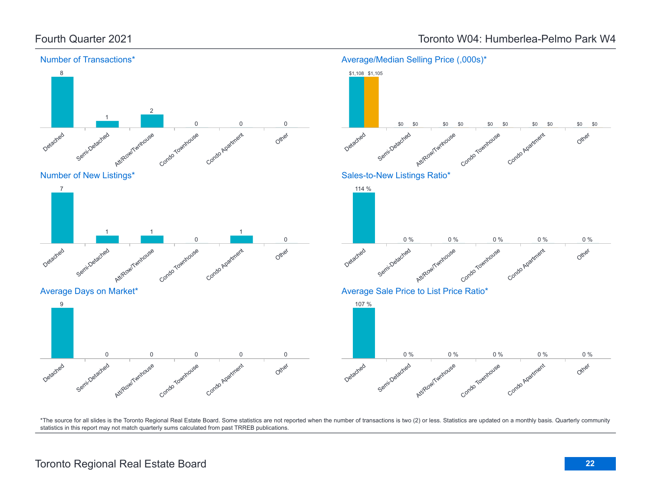### Fourth Quarter 2021 Toronto W04: Humberlea-Pelmo Park W4

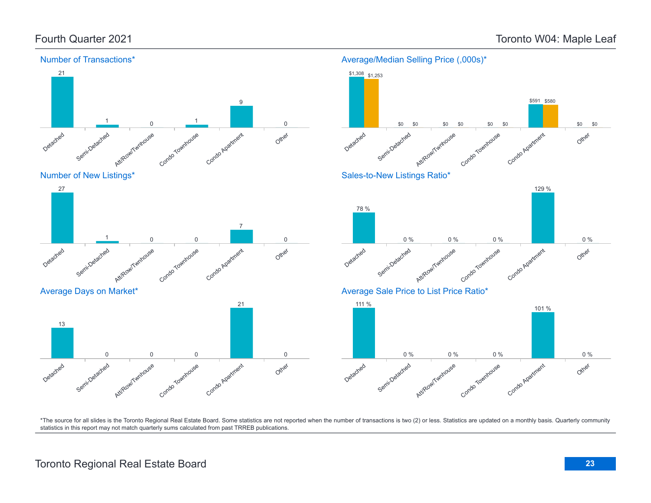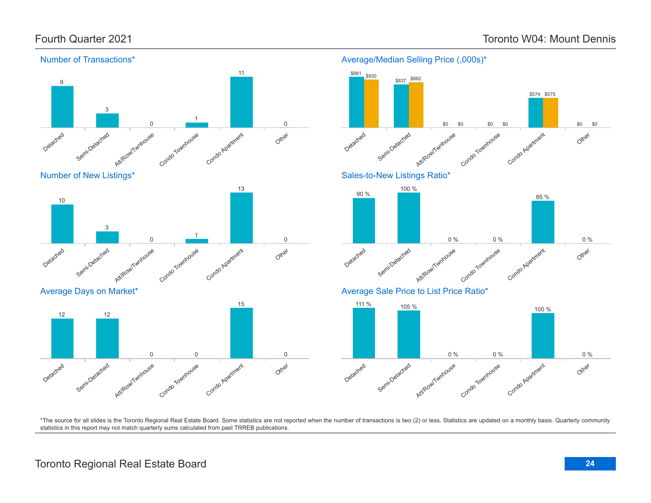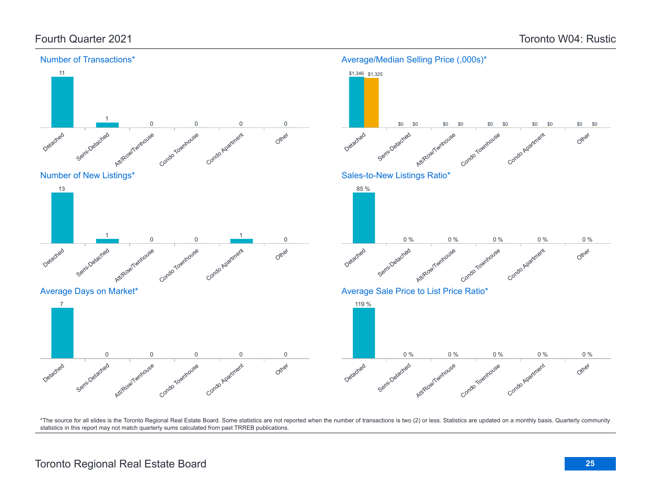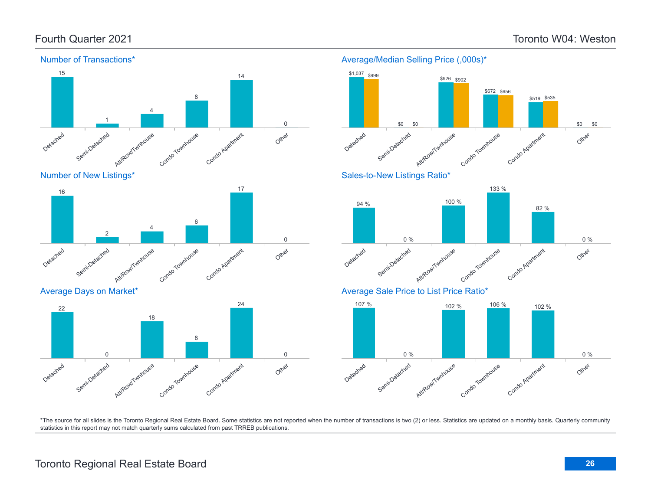Other

Other

Other

0 %

0 %

\$0

\$0



\*The source for all slides is the Toronto Regional Real Estate Board. Some statistics are not reported when the number of transactions is two (2) or less. Statistics are updated on a monthly basis. Quarterly community statistics in this report may not match quarterly sums calculated from past TRREB publications.

## Toronto Regional Real Estate Board **26**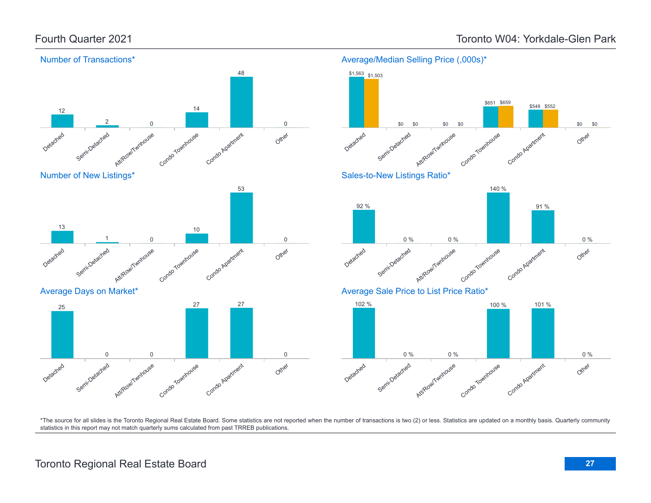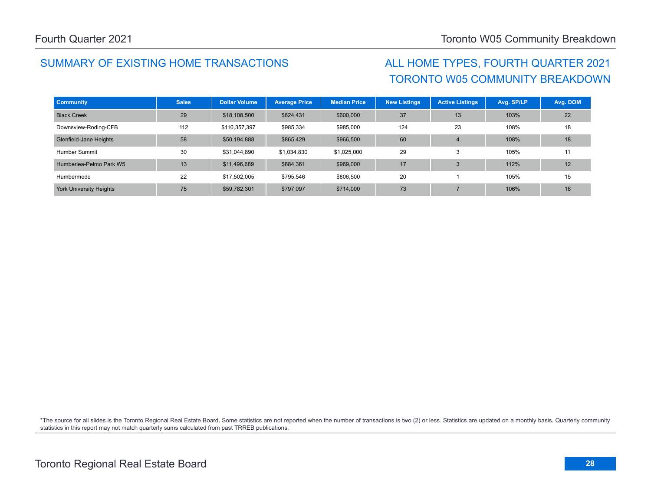## SUMMARY OF EXISTING HOME TRANSACTIONS ALL HOME TYPES, FOURTH QUARTER 2021

# TORONTO W05 COMMUNITY BREAKDOWN

| <b>Community</b>               | <b>Sales</b> | <b>Dollar Volume</b> | <b>Average Price</b> | <b>Median Price</b> | <b>New Listings</b> | <b>Active Listings</b> | Avg. SP/LP | Avg. DOM |
|--------------------------------|--------------|----------------------|----------------------|---------------------|---------------------|------------------------|------------|----------|
| <b>Black Creek</b>             | 29           | \$18,108,500         | \$624,431            | \$600,000           | 37                  | 13                     | 103%       | 22       |
| Downsview-Roding-CFB           | 112          | \$110,357,397        | \$985,334            | \$985,000           | 124                 | 23                     | 108%       | 18       |
| Glenfield-Jane Heights         | 58           | \$50,194,888         | \$865,429            | \$966,500           | 60                  | $\overline{4}$         | 108%       | 18       |
| Humber Summit                  | 30           | \$31,044,890         | \$1,034,830          | \$1.025.000         | 29                  | 3                      | 105%       | 11       |
| Humberlea-Pelmo Park W5        | 13           | \$11,496,689         | \$884,361            | \$969,000           | 17                  | 3                      | 112%       | 12       |
| Humbermede                     | 22           | \$17,502,005         | \$795,546            | \$806,500           | 20                  |                        | 105%       | 15       |
| <b>York University Heights</b> | 75           | \$59,782,301         | \$797,097            | \$714,000           | 73                  |                        | 106%       | 16       |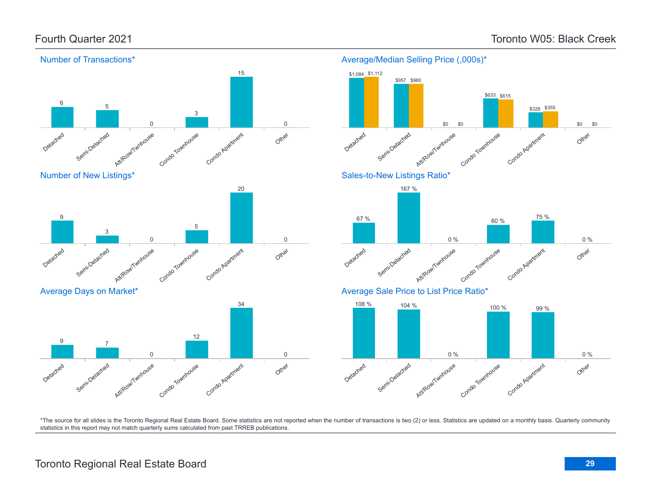### Fourth Quarter 2021 Toronto W05: Black Creek



\*The source for all slides is the Toronto Regional Real Estate Board. Some statistics are not reported when the number of transactions is two (2) or less. Statistics are updated on a monthly basis. Quarterly community statistics in this report may not match quarterly sums calculated from past TRREB publications.

### Toronto Regional Real Estate Board **29**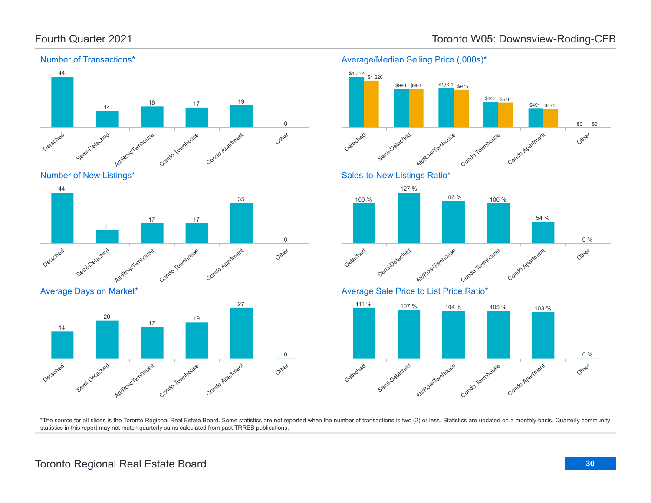



Average Days on Market\*





 $$1,021$  \$975

\*The source for all slides is the Toronto Regional Real Estate Board. Some statistics are not reported when the number of transactions is two (2) or less. Statistics are updated on a monthly basis. Quarterly community

statistics in this report may not match quarterly sums calculated from past TRREB publications.

\$1,312 \$1,220

Average/Median Selling Price (,000s)\*

\$996 \$993

Fourth Quarter 2021 Toronto W05: Downsview-Roding-CFB

Other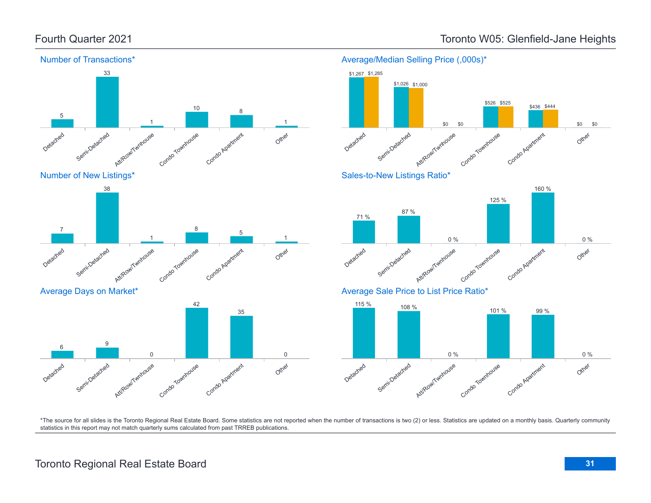

### Fourth Quarter 2021 Toronto W05: Glenfield-Jane Heights

Average/Median Selling Price (,000s)\*

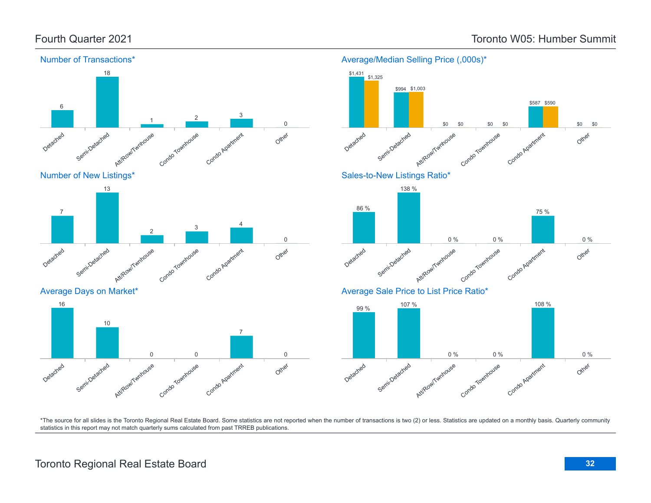\$0

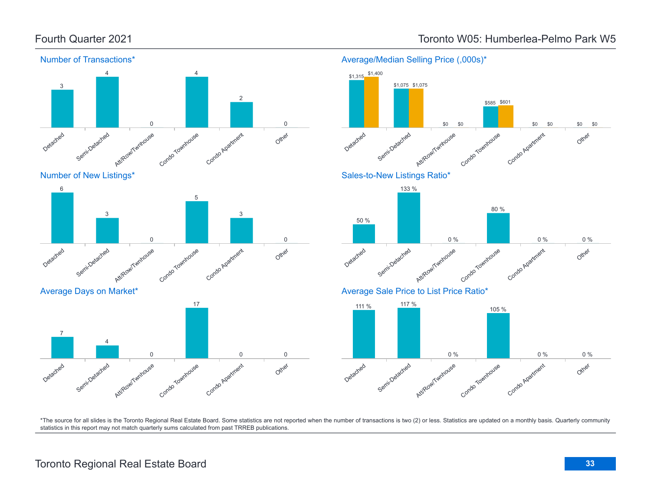

### Fourth Quarter 2021 Toronto W05: Humberlea-Pelmo Park W5



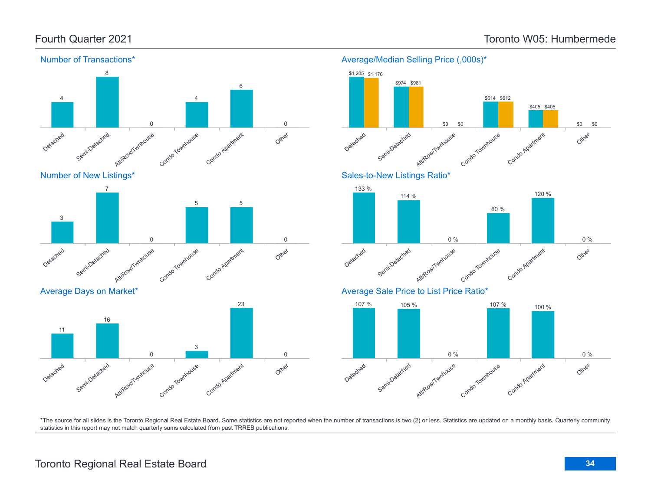

### Average/Median Selling Price (,000s)\*

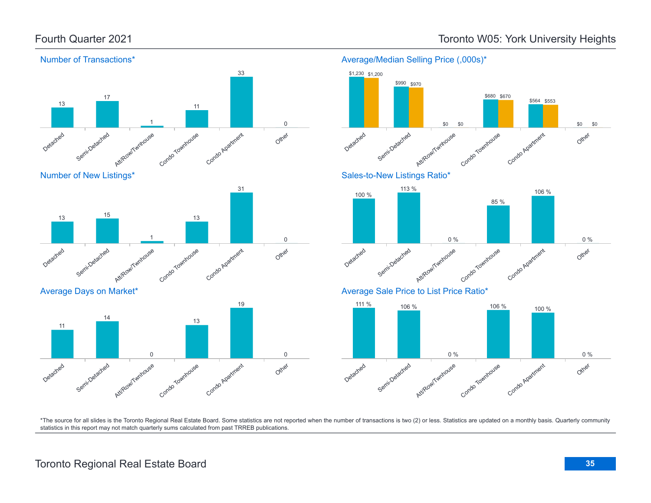

### Average/Median Selling Price (,000s)\*

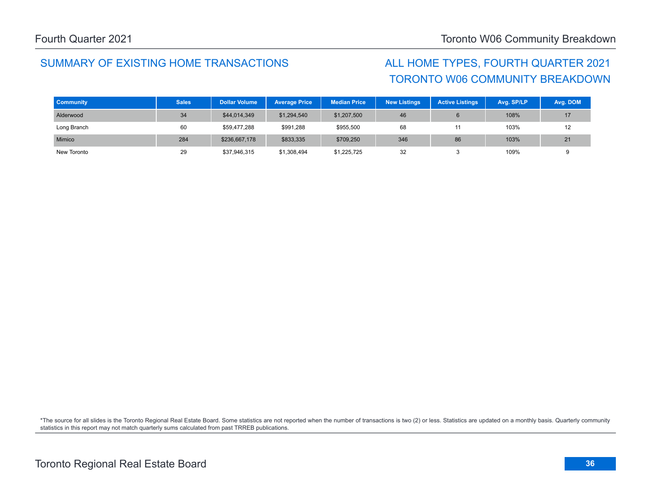## SUMMARY OF EXISTING HOME TRANSACTIONS ALL HOME TYPES, FOURTH QUARTER 2021

# TORONTO W06 COMMUNITY BREAKDOWN

| <b>Community</b> | <b>Sales</b> | <b>Dollar Volume</b> | <b>Average Price</b> | <b>Median Price</b> | <b>New Listings</b> | <b>Active Listings</b> | Avg. SP/LP | Avg. DOM |
|------------------|--------------|----------------------|----------------------|---------------------|---------------------|------------------------|------------|----------|
| Alderwood        | 34           | \$44,014,349         | \$1,294,540          | \$1,207,500         | 46                  |                        | 108%       | 17       |
| Long Branch      | 60           | \$59,477,288         | \$991,288            | \$955,500           | 68                  |                        | 103%       | 12       |
| Mimico           | 284          | \$236,667,178        | \$833,335            | \$709,250           | 346                 | 86                     | 103%       | 21       |
| New Toronto      | 29           | \$37,946,315         | \$1,308,494          | \$1,225,725         | 32                  |                        | 109%       |          |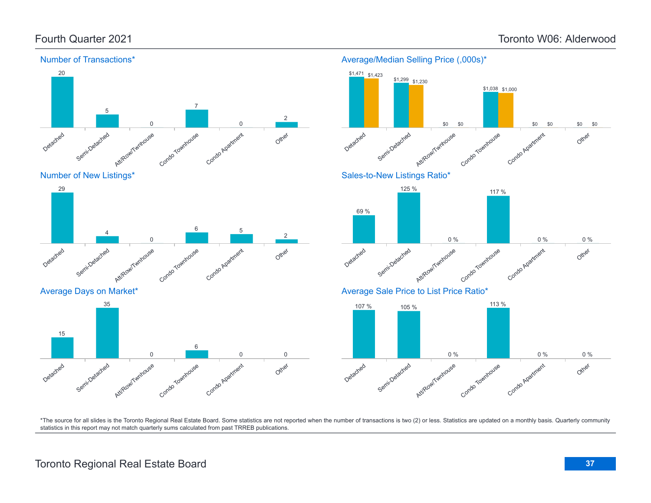

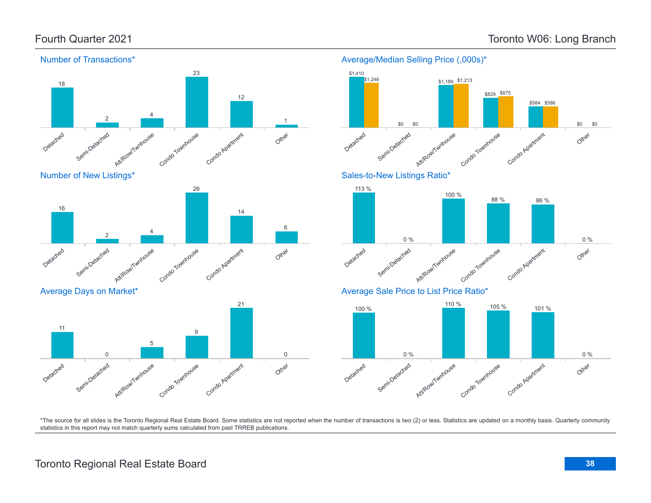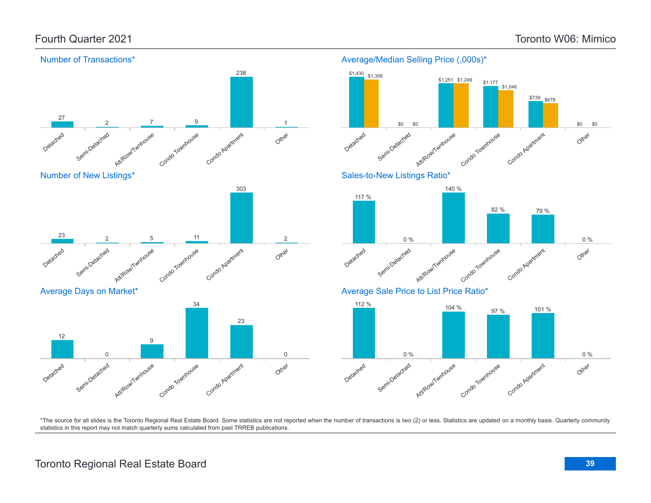### Fourth Quarter 2021 Toronto W06: Mimico

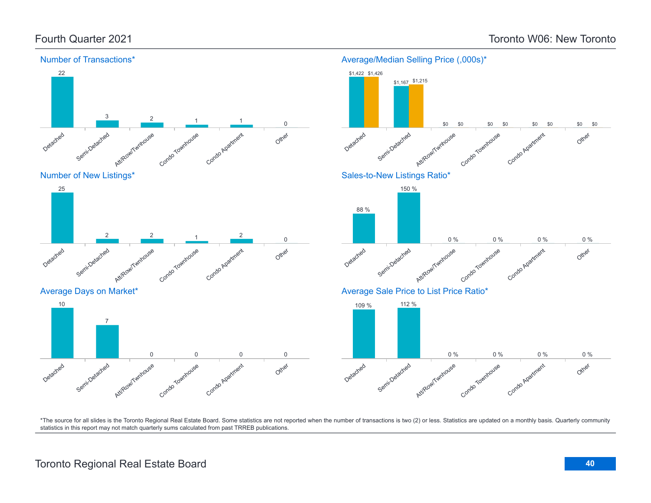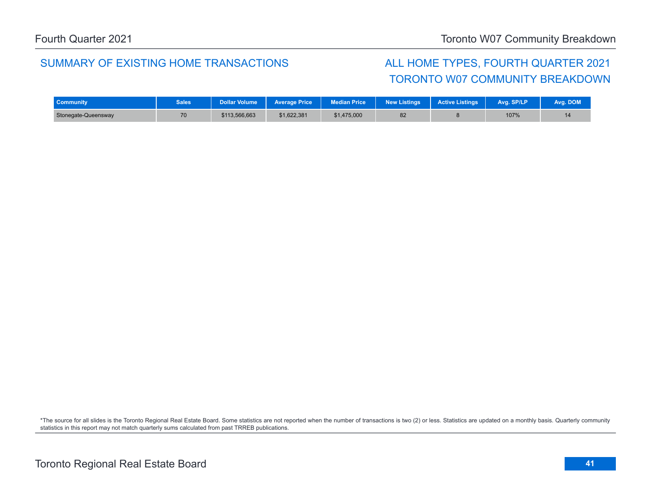### SUMMARY OF EXISTING HOME TRANSACTIONS ALL HOME TYPES, FOURTH QUARTER 2021

# TORONTO W07 COMMUNITY BREAKDOWN

| <b>Community</b>    | <b>Sales</b> | Dollar Volume | <b>Average Price</b> | <b>Median Price</b> | <b>New Listings</b> | <b>Active Listings</b> | Avg. SP/LP | Avg. DOM <sup>1</sup> |
|---------------------|--------------|---------------|----------------------|---------------------|---------------------|------------------------|------------|-----------------------|
| Stonegate-Queensway | 70           | \$113,566,663 | \$1.622.381          | \$1,475,000         | 82                  |                        | 107%       | 14                    |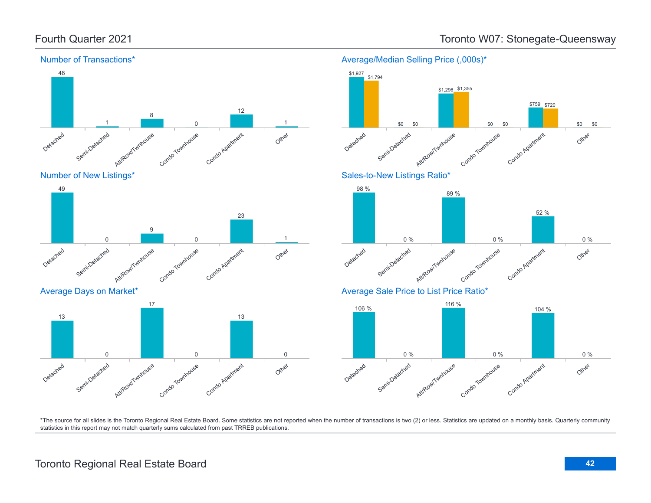Number of Transactions\*



### Fourth Quarter 2021 **Toronto W07: Stonegate-Queensway**

Average/Median Selling Price (,000s)\*

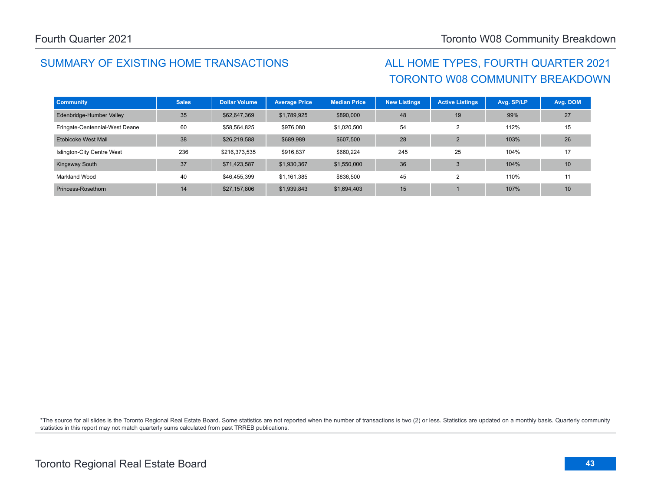## SUMMARY OF EXISTING HOME TRANSACTIONS ALL HOME TYPES, FOURTH QUARTER 2021

# TORONTO W08 COMMUNITY BREAKDOWN

| <b>Community</b>               | <b>Sales</b> | <b>Dollar Volume</b> | <b>Average Price</b> | <b>Median Price</b> | <b>New Listings</b> | <b>Active Listings</b> | Avg. SP/LP | Avg. DOM |
|--------------------------------|--------------|----------------------|----------------------|---------------------|---------------------|------------------------|------------|----------|
| Edenbridge-Humber Valley       | 35           | \$62,647,369         | \$1,789,925          | \$890,000           | 48                  | 19                     | 99%        | 27       |
| Eringate-Centennial-West Deane | 60           | \$58,564,825         | \$976,080            | \$1,020,500         | 54                  | 2                      | 112%       | 15       |
| Etobicoke West Mall            | 38           | \$26,219,588         | \$689,989            | \$607,500           | 28                  | $\overline{2}$         | 103%       | 26       |
| Islington-City Centre West     | 236          | \$216,373,535        | \$916,837            | \$660,224           | 245                 | 25                     | 104%       | 17       |
| <b>Kingsway South</b>          | 37           | \$71,423,587         | \$1,930,367          | \$1,550,000         | 36                  | 3                      | 104%       | 10       |
| Markland Wood                  | 40           | \$46.455.399         | \$1,161,385          | \$836,500           | 45                  | $\overline{2}$         | 110%       | 11       |
| Princess-Rosethorn             | 14           | \$27,157,806         | \$1,939,843          | \$1,694,403         | 15                  |                        | 107%       | 10       |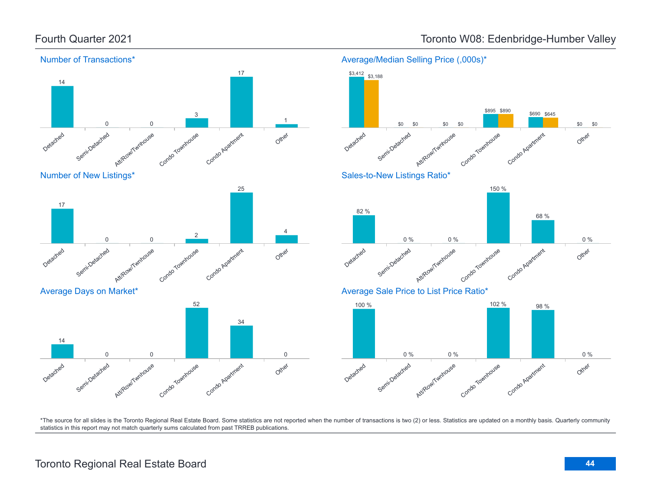

### Fourth Quarter 2021 **Toronto W08: Edenbridge-Humber Valley**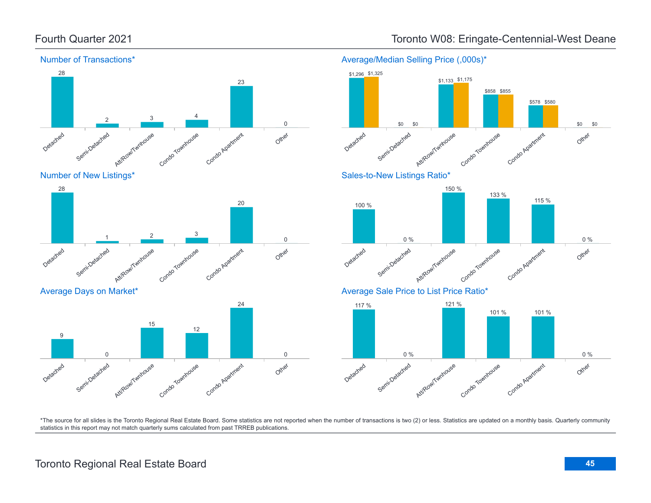

### Detached Semi-Detached Attlieaw/Twnhouse Townhouse Condo Apartment Other 28 1  $\frac{2}{3}$  3 20 0

### Average Days on Market\*



# Average/Median Selling Price (,000s)\*



\*The source for all slides is the Toronto Regional Real Estate Board. Some statistics are not reported when the number of transactions is two (2) or less. Statistics are updated on a monthly basis. Quarterly community statistics in this report may not match quarterly sums calculated from past TRREB publications.

## Toronto Regional Real Estate Board **45**

## Fourth Quarter 2021 **Toronto W08: Eringate-Centennial-West Deane**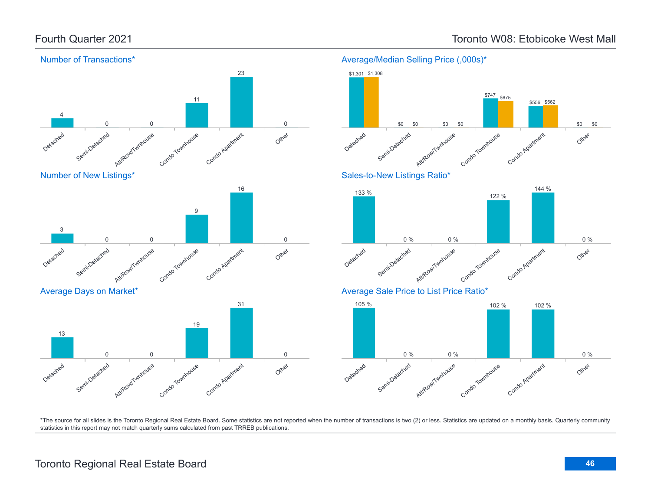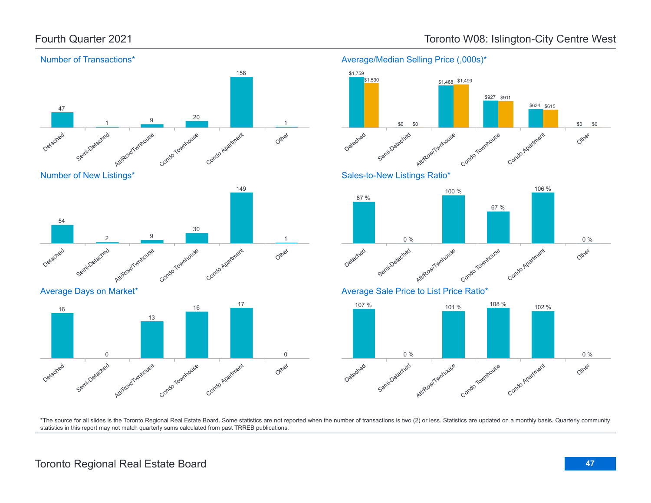

### Toronto Regional Real Estate Board **47**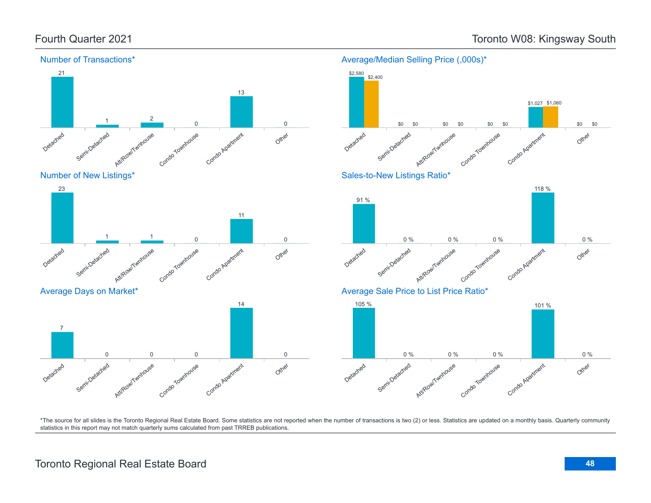

### Toronto Regional Real Estate Board **48**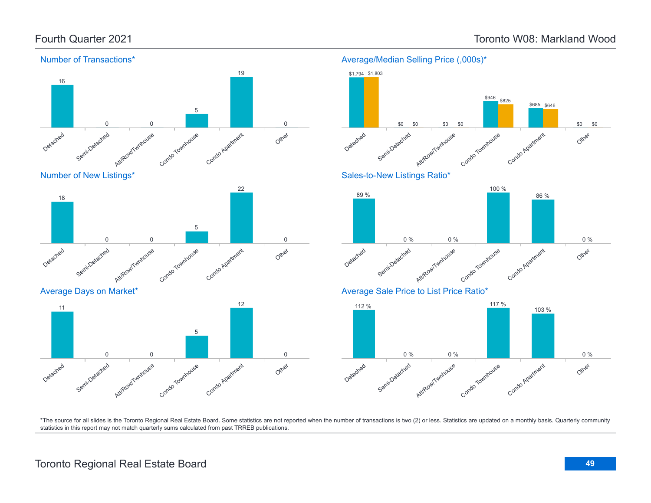### Fourth Quarter 2021 Toronto W08: Markland Wood

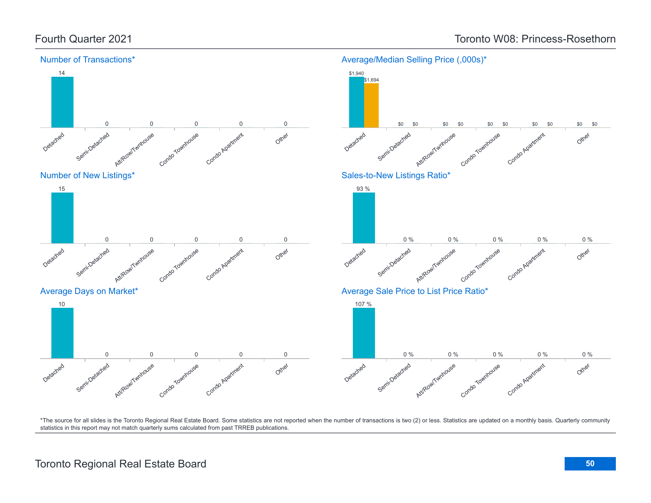Number of Transactions\*

Semi-Detached



### Number of New Listings\*

Detached

14



Townhous

Condo Apartment

Attite Ao

### Average Days on Market\*



### Detached Semi-Detached Att/Row/Twnhouse Townhouse Condo Apartment 0 % 0 % 0 % 0 % 0 %

### Average Sale Price to List Price Ratio\*

93 %



\*The source for all slides is the Toronto Regional Real Estate Board. Some statistics are not reported when the number of transactions is two (2) or less. Statistics are updated on a monthly basis. Quarterly community statistics in this report may not match quarterly sums calculated from past TRREB publications.

Other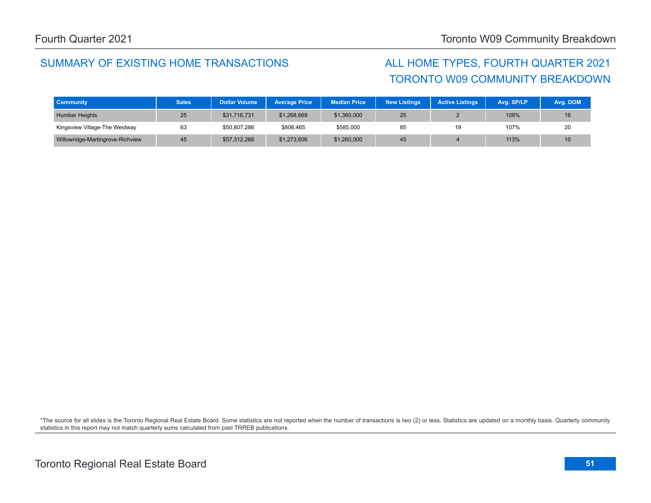## SUMMARY OF EXISTING HOME TRANSACTIONS ALL HOME TYPES, FOURTH QUARTER 2021

# TORONTO W09 COMMUNITY BREAKDOWN

| <b>Community</b>                 | <b>Sales</b> | <b>Dollar Volume</b> | <b>Average Price</b> | <b>Median Price</b> | <b>New Listings</b> | <b>Active Listings</b> | Avg. SP/LP | Avg. DOM |
|----------------------------------|--------------|----------------------|----------------------|---------------------|---------------------|------------------------|------------|----------|
| <b>Humber Heights</b>            | 25           | \$31,716,731         | \$1,268,669          | \$1,360,000         | 25                  |                        | 108%       | 16       |
| Kingsview Village-The Westway    | 63           | \$50,807,286         | \$806,465            | \$585,000           | 85                  | 19                     | 107%       | 20       |
| Willowridge-Martingrove-Richview | 45           | \$57,312,266         | \$1,273,606          | \$1,260,000         | 45                  |                        | 113%       | 10       |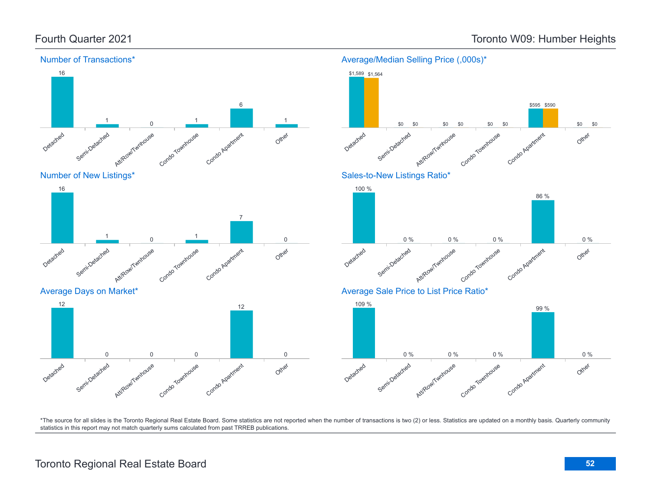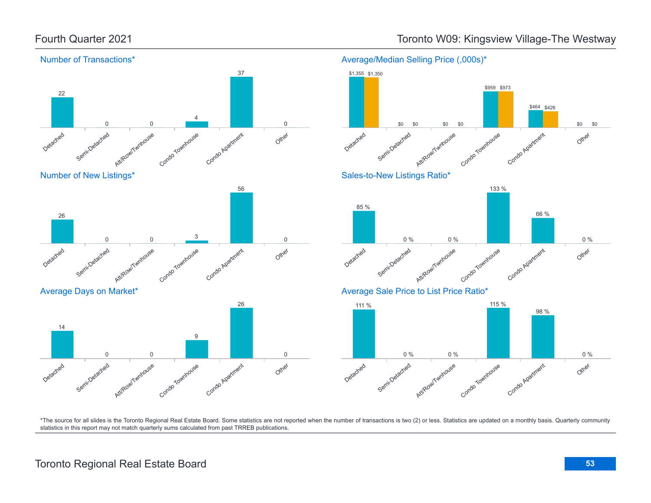

### Fourth Quarter 2021 Toronto W09: Kingsview Village-The Westway

\*The source for all slides is the Toronto Regional Real Estate Board. Some statistics are not reported when the number of transactions is two (2) or less. Statistics are updated on a monthly basis. Quarterly community statistics in this report may not match quarterly sums calculated from past TRREB publications.

Other

Other

Other

0 %

0 %

\$0 \$0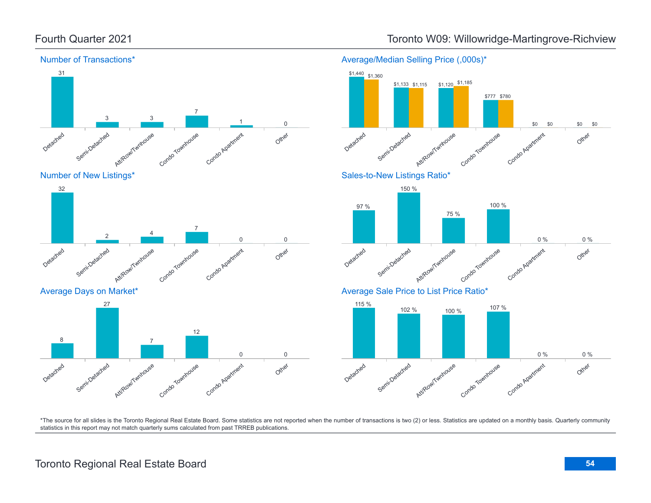



Average Days on Market\*





\*The source for all slides is the Toronto Regional Real Estate Board. Some statistics are not reported when the number of transactions is two (2) or less. Statistics are updated on a monthly basis. Quarterly community statistics in this report may not match quarterly sums calculated from past TRREB publications.

### Fourth Quarter 2021 Toronto W09: Willowridge-Martingrove-Richview

Average/Median Selling Price (,000s)\*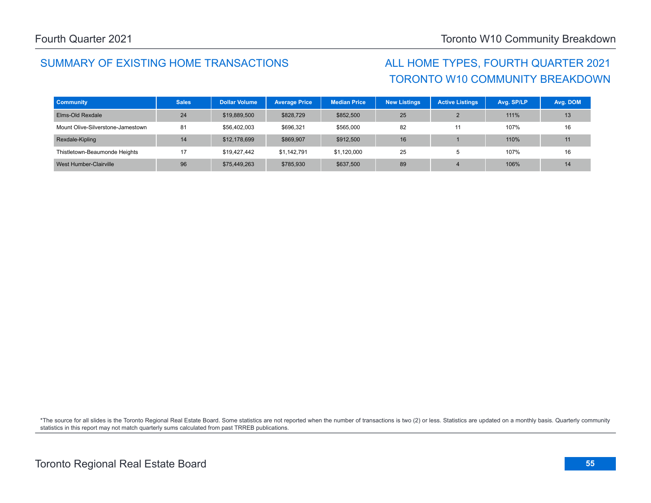## SUMMARY OF EXISTING HOME TRANSACTIONS ALL HOME TYPES, FOURTH QUARTER 2021

# TORONTO W10 COMMUNITY BREAKDOWN

| <b>Community</b>                  | <b>Sales</b> | <b>Dollar Volume</b> | <b>Average Price</b> | <b>Median Price</b> | <b>New Listings</b> | <b>Active Listings</b> | Avg. SP/LP | Avg. DOM |
|-----------------------------------|--------------|----------------------|----------------------|---------------------|---------------------|------------------------|------------|----------|
| Elms-Old Rexdale                  | 24           | \$19,889,500         | \$828,729            | \$852,500           | 25                  |                        | 111%       | 13       |
| Mount Olive-Silverstone-Jamestown | 81           | \$56,402,003         | \$696,321            | \$565,000           | 82                  | 11                     | 107%       | 16       |
| Rexdale-Kipling                   | 14           | \$12,178,699         | \$869,907            | \$912,500           | 16                  |                        | 110%       | 11       |
| Thistletown-Beaumonde Heights     | 17           | \$19,427,442         | \$1.142.791          | \$1,120,000         | 25                  | ÷                      | 107%       | 16       |
| West Humber-Clairville            | 96           | \$75,449,263         | \$785,930            | \$637,500           | 89                  |                        | 106%       | 14       |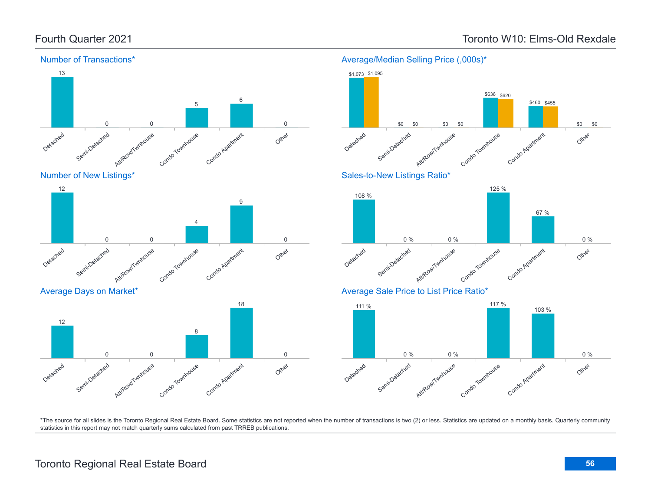Number of Transactions\*



### Average/Median Selling Price (,000s)\*

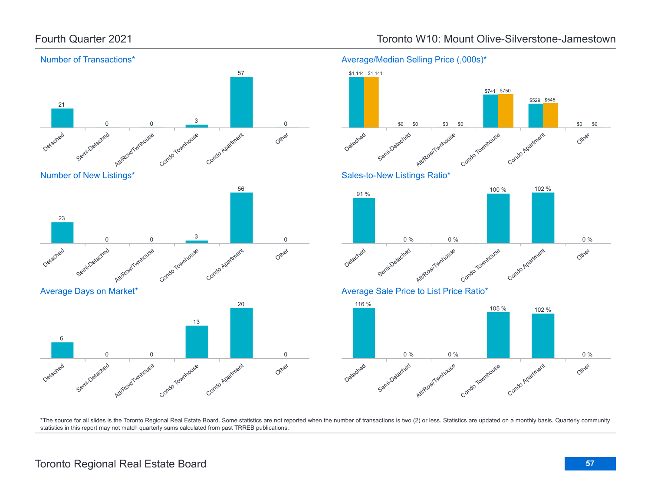Detached

Detached

6

23

Semi-Detached

Average Days on Market\*

Semi-Detached

Att/Row/Twnhouse

Att/Row/Twnhouse

0 0

0 0



Condo Townhouse

Condo Townhouse

3

13

Condo Agatment

20

Condo Agatment

Other

Other

0

0

### Fourth Quarter 2021 Toronto W10: Mount Olive-Silverstone-Jamestown



\*The source for all slides is the Toronto Regional Real Estate Board. Some statistics are not reported when the number of transactions is two (2) or less. Statistics are updated on a monthly basis. Quarterly community statistics in this report may not match quarterly sums calculated from past TRREB publications.

### Toronto Regional Real Estate Board **57**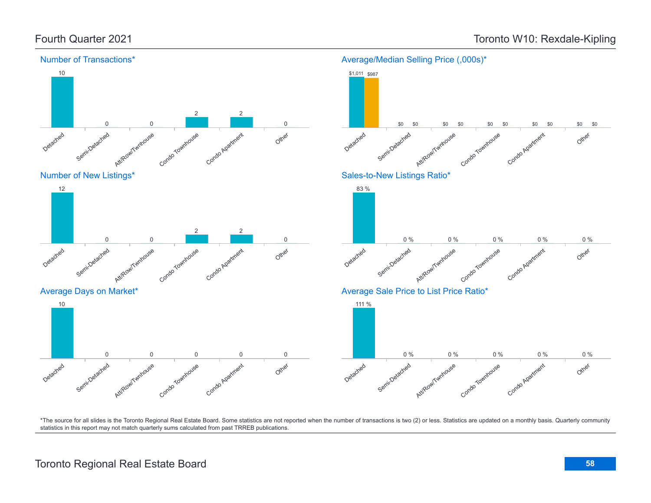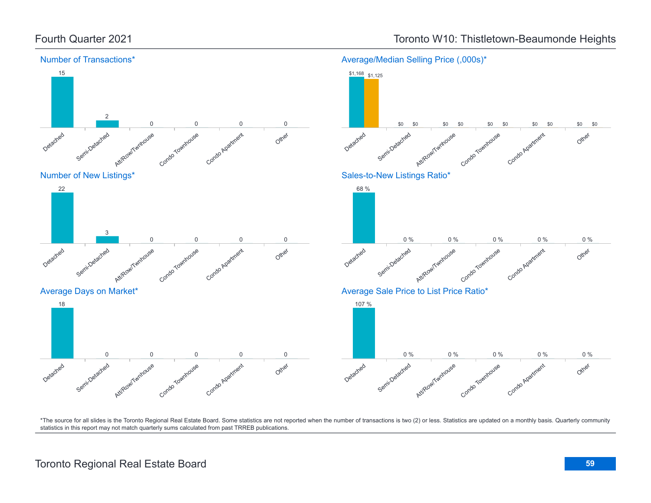

## Fourth Quarter 2021 **Toronto W10: Thistletown-Beaumonde Heights**